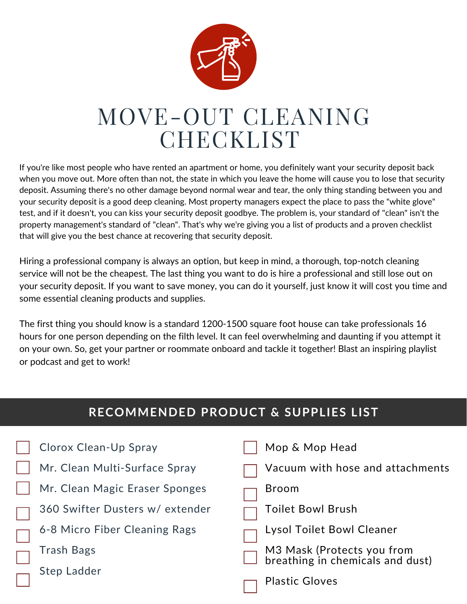

# MOVE-OUT CLEANING **CHECKLIST**

If you're like most people who have rented an apartment or home, you definitely want your security deposit back when you move out. More often than not, the state in which you leave the home will cause you to lose that security deposit. Assuming there's no other damage beyond normal wear and tear, the only thing standing between you and your security deposit is a good deep cleaning. Most property managers expect the place to pass the "white glove" test, and if it doesn't, you can kiss your security deposit goodbye. The problem is, your standard of "clean" isn't the property management's standard of "clean". That's why we're giving you a list of products and a proven checklist that will give you the best chance at recovering that security deposit.

Hiring a professional company is always an option, but keep in mind, a thorough, top-notch cleaning service will not be the cheapest. The last thing you want to do is hire a professional and still lose out on your security deposit. If you want to save money, you can do it yourself, just know it will cost you time and some essential cleaning products and supplies.

The first thing you should know is a standard 1200-1500 square foot house can take professionals 16 hours for one person depending on the filth level. It can feel overwhelming and daunting if you attempt it on your own. So, get your partner or roommate onboard and tackle it together! Blast an inspiring playlist or podcast and get to work!

| <b>RECOMMENDED PRODUCT &amp; SUPPLIES LIST</b> |  |                                                                |  |  |  |  |  |
|------------------------------------------------|--|----------------------------------------------------------------|--|--|--|--|--|
|                                                |  |                                                                |  |  |  |  |  |
| Clorox Clean-Up Spray                          |  | Mop & Mop Head                                                 |  |  |  |  |  |
| Mr. Clean Multi-Surface Spray                  |  | Vacuum with hose and attachments                               |  |  |  |  |  |
| Mr. Clean Magic Eraser Sponges                 |  | <b>Broom</b>                                                   |  |  |  |  |  |
| 360 Swifter Dusters w/extender                 |  | Toilet Bowl Brush                                              |  |  |  |  |  |
| 6-8 Micro Fiber Cleaning Rags                  |  | <b>Lysol Toilet Bowl Cleaner</b>                               |  |  |  |  |  |
| Trash Bags                                     |  | M3 Mask (Protects you from<br>breathing in chemicals and dust) |  |  |  |  |  |
| Step Ladder                                    |  | <b>Plastic Gloves</b>                                          |  |  |  |  |  |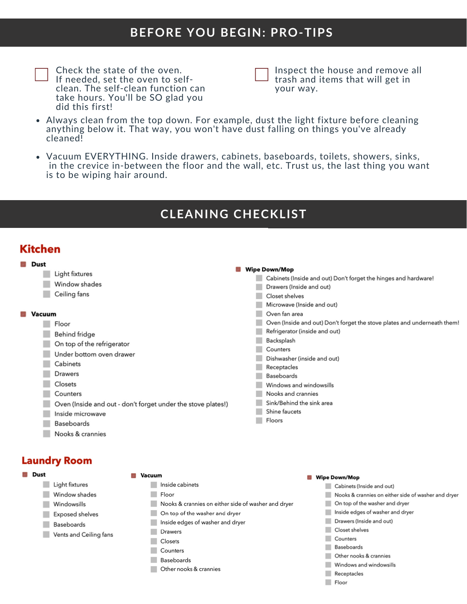# **BEFORE YOU BEGIN: PRO-TIPS**

Check the state of the oven. If needed, set the oven to selfclean. The self-clean function can take hours. You'll be SO glad you did this first!

Inspect the house and remove all trash and items that will get in your way.

- Always clean from the top down. For example, dust the light fixture before cleaning anything below it. That way, you won't have dust falling on things you've already cleaned!
- Vacuum EVERYTHING. Inside drawers, cabinets, baseboards, toilets, showers, sinks, in the crevice in-between the floor and the wall, etc. Trust us, the last thing you want is to be wiping hair around.

# **CLEANING CHECKLIST**

# **Kitchen**

| <b>AND</b> | Dust   |                                                              |  |                                                                                             |
|------------|--------|--------------------------------------------------------------|--|---------------------------------------------------------------------------------------------|
|            |        | Light fixtures                                               |  | <b>Wipe Down/Mop</b>                                                                        |
|            |        | Window shades                                                |  | Cabinets (Inside and out) Don't forget the hinges and hardware!<br>Drawers (Inside and out) |
|            |        | Ceiling fans                                                 |  | Closet shelves                                                                              |
|            |        |                                                              |  | Microwave (Inside and out)                                                                  |
|            | Vacuum |                                                              |  | Oven fan area                                                                               |
|            |        | Floor                                                        |  | Oven (Inside and out) Don't forget the stove plates and underneath them!                    |
|            |        | Behind fridge                                                |  | Refrigerator (inside and out)                                                               |
|            |        | On top of the refrigerator                                   |  | Backsplash                                                                                  |
|            |        | Under bottom oven drawer                                     |  | Counters                                                                                    |
|            |        | Cabinets                                                     |  | Dishwasher (inside and out)                                                                 |
|            |        |                                                              |  | Receptacles                                                                                 |
|            |        | Drawers                                                      |  | <b>Baseboards</b>                                                                           |
|            |        | Closets                                                      |  | Windows and windowsills                                                                     |
|            |        | Counters                                                     |  | Nooks and crannies                                                                          |
|            |        | Oven (Inside and out - don't forget under the stove plates!) |  | Sink/Behind the sink area                                                                   |
|            |        | Inside microwave                                             |  | Shine faucets                                                                               |
|            |        | Baseboards                                                   |  | Floors                                                                                      |
|            |        | Nooks & crannies                                             |  |                                                                                             |
|            |        |                                                              |  |                                                                                             |

## **Laundry Room**



### **Vacuum**

- Light fixtures
- Window shades
- Windowsills
- Exposed shelves
- Baseboards
- Vents and Ceiling fans
- Inside cabinets
- Floor
- Nooks & crannies on either side of washer and dryer
- On top of the washer and dryer
- Inside edges of washer and dryer
- Drawers
- Closets
- Counters
- Baseboards
- Other nooks & crannies
- **Wipe Down/Mop** 
	- Cabinets (Inside and out)
	- Nooks & crannies on either side of washer and dryer
	- On top of the washer and dryer ٠
		- Inside edges of washer and dryer
	- Drawers (Inside and out)
	- Closet shelves
	- Counters
	- **Baseboards**
	- Other nooks & crannies
	- Windows and windowsills
	- Receptacles
	- Floor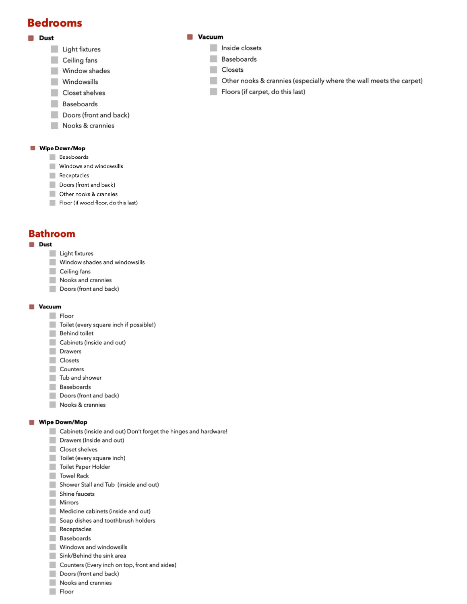## **Bedrooms**

## **Dust**

- Light fixtures
- ٠ Ceiling fans
- a. Window shades
- Windowsills .
- Closet shelves m.
- Baseboards
- Doors (front and back)
- Nooks & crannies

#### Wipe Down/Mop

- Baseboards
- Windows and windowsills
- Receptacles
- Doors (front and back)
- Other nooks & crannies
- Floor (if wood floor, do this last)

## **Bathroom**

## **Dust**

- Light fixtures
- Window shades and windowsills
- Ceiling fans
- Nooks and crannies
- Doors (front and back)

### **Vacuum**

- Floor
- Toilet (every square inch if possible!)
- Behind toilet
- Cabinets (Inside and out)
- Drawers
- Closets
- Counters
- Tub and shower
- Baseboards
- Doors (front and back)
- Nooks & crannies

### **Wipe Down/Mop**

- Cabinets (Inside and out) Don't forget the hinges and hardware!
- Drawers (Inside and out)
- Closet shelves
- Toilet (every square inch)
- Toilet Paper Holder
- Towel Rack
- Shower Stall and Tub (inside and out)
- Shine faucets
- **Mirrors**
- Medicine cabinets (inside and out)
- Soap dishes and toothbrush holders
- Receptacles
- Baseboards
- Windows and windowsills
- Sink/Behind the sink area
- Counters (Every inch on top, front and sides)
- Doors (front and back)
- Nooks and crannies
- Floor

#### **Vacuum**

- Inside closets
- **Baseboards** m.
- Closets
- Other nooks & crannies (especially where the wall meets the carpet) **College**
- Floors (if carpet, do this last)